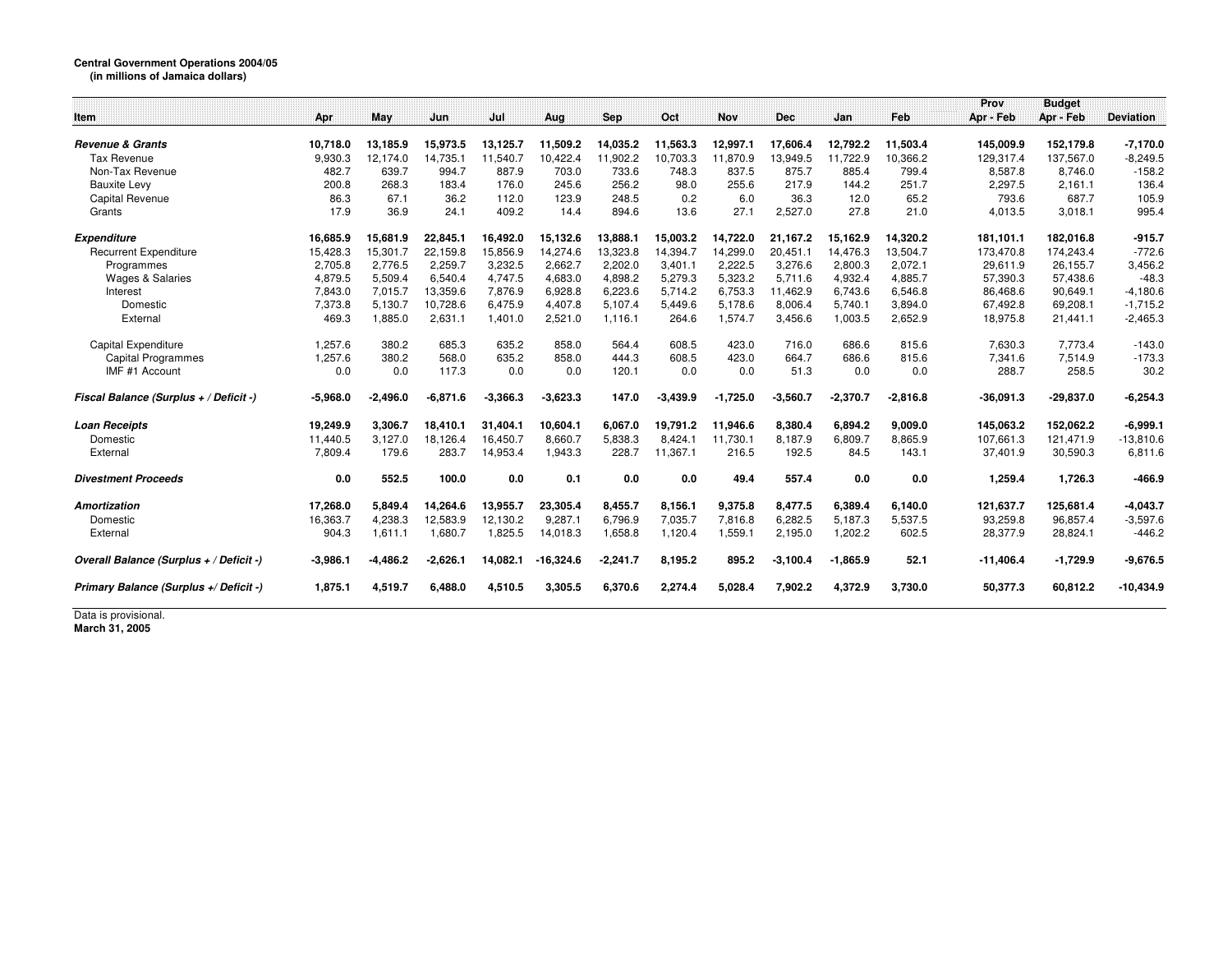## **Central Government Operations 2004/05 (in millions of Jamaica dollars)**

| Item                                    | Apr              | May                  | Jun               | Jul               | Aug               | Sep               | Oct               | <b>Nov</b>        | <b>Dec</b>        | Jan               | Feb               | Prov<br>Apr - Feb | <b>Budget</b><br>Apr - Feb | <b>Deviation</b>       |
|-----------------------------------------|------------------|----------------------|-------------------|-------------------|-------------------|-------------------|-------------------|-------------------|-------------------|-------------------|-------------------|-------------------|----------------------------|------------------------|
| <b>Revenue &amp; Grants</b>             | 10.718.0         |                      |                   |                   |                   |                   |                   |                   |                   |                   |                   |                   | 152,179.8                  |                        |
| <b>Tax Revenue</b>                      |                  | 13,185.9<br>12.174.0 | 15,973.5          | 13,125.7          | 11,509.2          | 14,035.2          | 11,563.3          | 12,997.1          | 17,606.4          | 12,792.2          | 11,503.4          | 145,009.9         |                            | $-7,170.0$             |
| Non-Tax Revenue                         | 9,930.3<br>482.7 | 639.7                | 14,735.1<br>994.7 | 11,540.7<br>887.9 | 10,422.4<br>703.0 | 11,902.2<br>733.6 | 10,703.3<br>748.3 | 11,870.9<br>837.5 | 13,949.5<br>875.7 | 11,722.9<br>885.4 | 10,366.2<br>799.4 | 129,317.4         | 137,567.0<br>8.746.0       | $-8,249.5$<br>$-158.2$ |
|                                         |                  |                      |                   |                   |                   |                   |                   |                   |                   |                   |                   | 8,587.8           |                            |                        |
| <b>Bauxite Levy</b>                     | 200.8            | 268.3<br>67.1        | 183.4             | 176.0             | 245.6             | 256.2             | 98.0              | 255.6             | 217.9             | 144.2             | 251.7             | 2,297.5           | 2,161.1                    | 136.4                  |
| Capital Revenue                         | 86.3<br>17.9     | 36.9                 | 36.2<br>24.1      | 112.0<br>409.2    | 123.9<br>14.4     | 248.5<br>894.6    | 0.2<br>13.6       | 6.0<br>27.1       | 36.3              | 12.0<br>27.8      | 65.2              | 793.6             | 687.7                      | 105.9                  |
| Grants                                  |                  |                      |                   |                   |                   |                   |                   |                   | 2,527.0           |                   | 21.0              | 4,013.5           | 3,018.1                    | 995.4                  |
| <b>Expenditure</b>                      | 16,685.9         | 15,681.9             | 22,845.1          | 16,492.0          | 15,132.6          | 13,888.1          | 15,003.2          | 14,722.0          | 21,167.2          | 15,162.9          | 14,320.2          | 181,101.1         | 182,016.8                  | $-915.7$               |
| <b>Recurrent Expenditure</b>            | 15.428.3         | 15.301.7             | 22.159.8          | 15.856.9          | 14.274.6          | 13,323.8          | 14,394.7          | 14,299.0          | 20,451.1          | 14.476.3          | 13,504.7          | 173.470.8         | 174.243.4                  | $-772.6$               |
| Programmes                              | 2.705.8          | 2.776.5              | 2.259.7           | 3.232.5           | 2.662.7           | 2.202.0           | 3,401.1           | 2,222.5           | 3,276.6           | 2,800.3           | 2,072.1           | 29,611.9          | 26,155.7                   | 3,456.2                |
| <b>Wages &amp; Salaries</b>             | 4,879.5          | 5,509.4              | 6,540.4           | 4.747.5           | 4.683.0           | 4,898.2           | 5,279.3           | 5,323.2           | 5,711.6           | 4,932.4           | 4,885.7           | 57,390.3          | 57,438.6                   | $-48.3$                |
| Interest                                | 7.843.0          | 7.015.7              | 13.359.6          | 7.876.9           | 6.928.8           | 6.223.6           | 5.714.2           | 6.753.3           | 11,462.9          | 6.743.6           | 6.546.8           | 86.468.6          | 90.649.1                   | $-4,180.6$             |
| Domestic                                | 7,373.8          | 5,130.7              | 10,728.6          | 6.475.9           | 4,407.8           | 5,107.4           | 5.449.6           | 5,178.6           | 8,006.4           | 5,740.1           | 3,894.0           | 67,492.8          | 69,208.1                   | $-1,715.2$             |
| External                                | 469.3            | 1,885.0              | 2,631.1           | 1,401.0           | 2,521.0           | 1,116.1           | 264.6             | 1,574.7           | 3,456.6           | 1,003.5           | 2,652.9           | 18,975.8          | 21,441.1                   | $-2,465.3$             |
| <b>Capital Expenditure</b>              | 1.257.6          | 380.2                | 685.3             | 635.2             | 858.0             | 564.4             | 608.5             | 423.0             | 716.0             | 686.6             | 815.6             | 7,630.3           | 7.773.4                    | $-143.0$               |
| Capital Programmes                      | 1,257.6          | 380.2                | 568.0             | 635.2             | 858.0             | 444.3             | 608.5             | 423.0             | 664.7             | 686.6             | 815.6             | 7.341.6           | 7.514.9                    | $-173.3$               |
| IMF #1 Account                          | 0.0              | 0.0                  | 117.3             | 0.0               | 0.0               | 120.1             | 0.0               | 0.0               | 51.3              | 0.0               | 0.0               | 288.7             | 258.5                      | 30.2                   |
| Fiscal Balance (Surplus + / Deficit -)  | $-5.968.0$       | $-2.496.0$           | $-6,871.6$        | $-3.366.3$        | $-3,623.3$        | 147.0             | $-3,439.9$        | $-1,725.0$        | $-3,560.7$        | $-2,370.7$        | $-2,816.8$        | $-36,091.3$       | $-29,837.0$                | $-6,254.3$             |
| <b>Loan Receipts</b>                    | 19,249.9         | 3,306.7              | 18,410.1          | 31,404.1          | 10,604.1          | 6,067.0           | 19,791.2          | 11,946.6          | 8,380.4           | 6,894.2           | 9,009.0           | 145,063.2         | 152,062.2                  | $-6,999.1$             |
| Domestic                                | 11,440.5         | 3,127.0              | 18,126.4          | 16,450.7          | 8,660.7           | 5,838.3           | 8,424.1           | 11,730.1          | 8,187.9           | 6,809.7           | 8,865.9           | 107,661.3         | 121,471.9                  | $-13,810.6$            |
| External                                | 7,809.4          | 179.6                | 283.7             | 14,953.4          | 1,943.3           | 228.7             | 11,367.1          | 216.5             | 192.5             | 84.5              | 143.1             | 37,401.9          | 30,590.3                   | 6,811.6                |
| <b>Divestment Proceeds</b>              | 0.0              | 552.5                | 100.0             | 0.0               | 0.1               | 0.0               | 0.0               | 49.4              | 557.4             | 0.0               | 0.0               | 1,259.4           | 1,726.3                    | $-466.9$               |
| <b>Amortization</b>                     | 17,268.0         | 5,849.4              | 14,264.6          | 13,955.7          | 23,305.4          | 8,455.7           | 8,156.1           | 9,375.8           | 8,477.5           | 6,389.4           | 6,140.0           | 121,637.7         | 125,681.4                  | $-4,043.7$             |
| Domestic                                | 16,363.7         | 4,238.3              | 12,583.9          | 12,130.2          | 9,287.1           | 6,796.9           | 7,035.7           | 7,816.8           | 6,282.5           | 5,187.3           | 5,537.5           | 93,259.8          | 96,857.4                   | $-3,597.6$             |
| External                                | 904.3            | 1,611.1              | 1,680.7           | 1,825.5           | 14,018.3          | 1,658.8           | 1,120.4           | 1,559.1           | 2,195.0           | 1,202.2           | 602.5             | 28,377.9          | 28,824.1                   | $-446.2$               |
| Overall Balance (Surplus + / Deficit -) | $-3,986.1$       | $-4,486.2$           | $-2,626.1$        | 14,082.1          | $-16,324.6$       | $-2.241.7$        | 8,195.2           | 895.2             | $-3.100.4$        | $-1,865.9$        | 52.1              | $-11,406.4$       | $-1,729.9$                 | $-9,676.5$             |
| Primary Balance (Surplus +/ Deficit -)  | 1,875.1          | 4,519.7              | 6,488.0           | 4,510.5           | 3,305.5           | 6,370.6           | 2,274.4           | 5.028.4           | 7,902.2           | 4,372.9           | 3,730.0           | 50,377.3          | 60,812.2                   | $-10,434.9$            |

Data is provisional. **March 31, 2005**